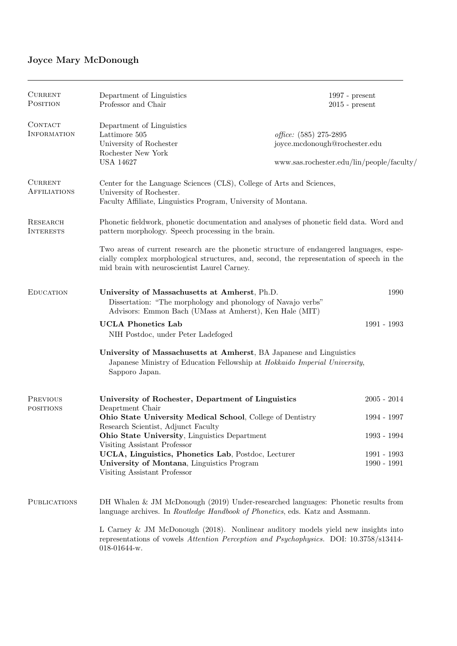# Joyce Mary McDonough

| <b>CURRENT</b><br>POSITION          | Department of Linguistics<br>Professor and Chair                                                                                                                                                                                     | $1997$ - present<br>$2015$ - present                                                                 |                              |  |
|-------------------------------------|--------------------------------------------------------------------------------------------------------------------------------------------------------------------------------------------------------------------------------------|------------------------------------------------------------------------------------------------------|------------------------------|--|
| CONTACT<br><b>INFORMATION</b>       | Department of Linguistics<br>Lattimore 505<br>University of Rochester<br>Rochester New York<br><b>USA 14627</b>                                                                                                                      | office: (585) 275-2895<br>joyce.mcdonough@rochester.edu<br>www.sas.rochester.edu/lin/people/faculty/ |                              |  |
| <b>CURRENT</b><br>AFFILIATIONS      | Center for the Language Sciences (CLS), College of Arts and Sciences,<br>University of Rochester.<br>Faculty Affiliate, Linguistics Program, University of Montana.                                                                  |                                                                                                      |                              |  |
| RESEARCH<br><b>INTERESTS</b>        | Phonetic fieldwork, phonetic documentation and analyses of phonetic field data. Word and<br>pattern morphology. Speech processing in the brain.                                                                                      |                                                                                                      |                              |  |
|                                     | Two areas of current research are the phonetic structure of endangered languages, espe-<br>cially complex morphological structures, and, second, the representation of speech in the<br>mid brain with neuroscientist Laurel Carney. |                                                                                                      |                              |  |
| <b>EDUCATION</b>                    | University of Massachusetts at Amherst, Ph.D.<br>Dissertation: "The morphology and phonology of Navajo verbs"<br>Advisors: Emmon Bach (UMass at Amherst), Ken Hale (MIT)                                                             |                                                                                                      | 1990                         |  |
|                                     | <b>UCLA Phonetics Lab</b><br>NIH Postdoc, under Peter Ladefoged                                                                                                                                                                      |                                                                                                      | 1991 - 1993                  |  |
|                                     | University of Massachusetts at Amherst, BA Japanese and Linguistics<br>Japanese Ministry of Education Fellowship at Hokkaido Imperial University,<br>Sapporo Japan.                                                                  |                                                                                                      |                              |  |
| <b>PREVIOUS</b><br><b>POSITIONS</b> | University of Rochester, Department of Linguistics<br>Deaprtment Chair                                                                                                                                                               |                                                                                                      | $2005 - 2014$                |  |
|                                     | Ohio State University Medical School, College of Dentistry                                                                                                                                                                           |                                                                                                      | 1994 - 1997                  |  |
|                                     | Research Scientist, Adjunct Faculty<br>Ohio State University, Linguistics Department<br>Visiting Assistant Professor                                                                                                                 |                                                                                                      | 1993 - 1994                  |  |
|                                     | UCLA, Linguistics, Phonetics Lab, Postdoc, Lecturer<br>University of Montana, Linguistics Program<br>Visiting Assistant Professor                                                                                                    |                                                                                                      | 1991 - 1993<br>$1990 - 1991$ |  |
| <b>PUBLICATIONS</b>                 | DH Whalen & JM McDonough (2019) Under-researched languages: Phonetic results from<br>language archives. In Routledge Handbook of Phonetics, eds. Katz and Assmann.                                                                   |                                                                                                      |                              |  |
|                                     | L Carney & JM McDonough $(2018)$ . Nonlinear auditory models yield new insights into<br>representations of vowels Attention Perception and Psychophysics. DOI: 10.3758/s13414-<br>$018-01644-w.$                                     |                                                                                                      |                              |  |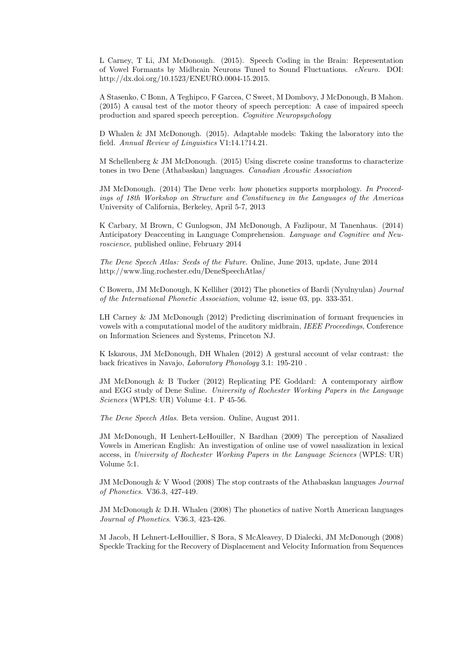L Carney, T Li, JM McDonough. (2015). Speech Coding in the Brain: Representation of Vowel Formants by Midbrain Neurons Tuned to Sound Fluctuations. eNeuro. DOI: http://dx.doi.org/10.1523/ENEURO.0004-15.2015.

A Stasenko, C Bonn, A Teghipco, F Garcea, C Sweet, M Dombovy, J McDonough, B Mahon. (2015) A causal test of the motor theory of speech perception: A case of impaired speech production and spared speech perception. Cognitive Neuropsychology

D Whalen & JM McDonough. (2015). Adaptable models: Taking the laboratory into the field. Annual Review of Linguistics V1:14.1?14.21.

M Schellenberg & JM McDonough. (2015) Using discrete cosine transforms to characterize tones in two Dene (Athabaskan) languages. Canadian Acoustic Association

JM McDonough. (2014) The Dene verb: how phonetics supports morphology. In Proceedings of 18th Workshop on Structure and Constituency in the Languages of the Americas University of California, Berkeley, April 5-7, 2013

K Carbary, M Brown, C Gunlogson, JM McDonough, A Fazlipour, M Tanenhaus. (2014) Anticipatory Deaccenting in Language Comprehension. Language and Cognitive and Neuroscience, published online, February 2014

The Dene Speech Atlas: Seeds of the Future. Online, June 2013, update, June 2014 http://www.ling.rochester.edu/DeneSpeechAtlas/

C Bowern, JM McDonough, K Kelliher (2012) The phonetics of Bardi (Nyulnyulan) Journal of the International Phonetic Association, volume 42, issue 03, pp. 333-351.

LH Carney & JM McDonough (2012) Predicting discrimination of formant frequencies in vowels with a computational model of the auditory midbrain, IEEE Proceedings, Conference on Information Sciences and Systems, Princeton NJ.

K Iskarous, JM McDonough, DH Whalen (2012) A gestural account of velar contrast: the back fricatives in Navajo, Laboratory Phonology 3.1: 195-210 .

JM McDonough & B Tucker (2012) Replicating PE Goddard: A contemporary airflow and EGG study of Dene Suline. University of Rochester Working Papers in the Language Sciences (WPLS: UR) Volume 4:1. P 45-56.

The Dene Speech Atlas. Beta version. Online, August 2011.

JM McDonough, H Lenhert-LeHouiller, N Bardhan (2009) The perception of Nasalized Vowels in American English: An investigation of online use of vowel nasalization in lexical access, in University of Rochester Working Papers in the Language Sciences (WPLS: UR) Volume 5:1.

JM McDonough & V Wood (2008) The stop contrasts of the Athabaskan languages Journal of Phonetics. V36.3, 427-449.

JM McDonough & D.H. Whalen (2008) The phonetics of native North American languages Journal of Phonetics. V36.3, 423-426.

M Jacob, H Lehnert-LeHouillier, S Bora, S McAleavey, D Dialecki, JM McDonough (2008) Speckle Tracking for the Recovery of Displacement and Velocity Information from Sequences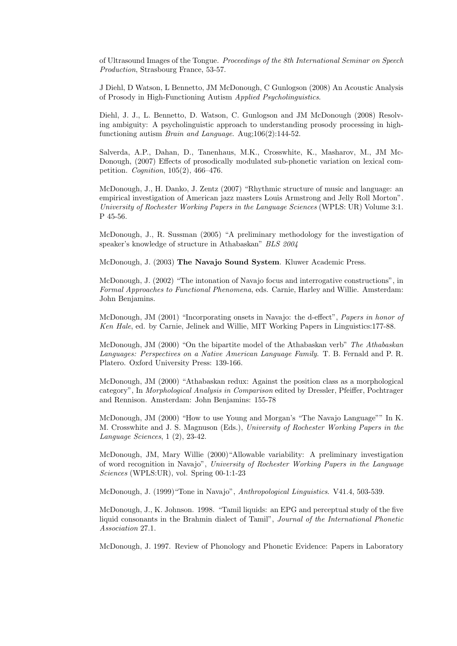of Ultrasound Images of the Tongue. Proceedings of the 8th International Seminar on Speech Production, Strasbourg France, 53-57.

J Diehl, D Watson, L Bennetto, JM McDonough, C Gunlogson (2008) An Acoustic Analysis of Prosody in High-Functioning Autism Applied Psycholinguistics.

Diehl, J. J., L. Bennetto, D. Watson, C. Gunlogson and JM McDonough (2008) Resolving ambiguity: A psycholinguistic approach to understanding prosody processing in highfunctioning autism Brain and Language. Aug;106(2):144-52.

Salverda, A.P., Dahan, D., Tanenhaus, M.K., Crosswhite, K., Masharov, M., JM Mc-Donough, (2007) Effects of prosodically modulated sub-phonetic variation on lexical competition. Cognition, 105(2), 466–476.

McDonough, J., H. Danko, J. Zentz (2007) "Rhythmic structure of music and language: an empirical investigation of American jazz masters Louis Armstrong and Jelly Roll Morton". University of Rochester Working Papers in the Language Sciences (WPLS: UR) Volume 3:1. P 45-56.

McDonough, J., R. Sussman (2005) "A preliminary methodology for the investigation of speaker's knowledge of structure in Athabaskan" BLS 2004

McDonough, J. (2003) The Navajo Sound System. Kluwer Academic Press.

McDonough, J. (2002) "The intonation of Navajo focus and interrogative constructions", in Formal Approaches to Functional Phenomena, eds. Carnie, Harley and Willie. Amsterdam: John Benjamins.

McDonough, JM (2001) "Incorporating onsets in Navajo: the d-effect", Papers in honor of Ken Hale, ed. by Carnie, Jelinek and Willie, MIT Working Papers in Linguistics:177-88.

McDonough, JM (2000) "On the bipartite model of the Athabaskan verb" The Athabaskan Languages: Perspectives on a Native American Language Family. T. B. Fernald and P. R. Platero. Oxford University Press: 139-166.

McDonough, JM (2000) "Athabaskan redux: Against the position class as a morphological category", In Morphological Analysis in Comparison edited by Dressler, Pfeiffer, Pochtrager and Rennison. Amsterdam: John Benjamins: 155-78

McDonough, JM (2000) "How to use Young and Morgan's "The Navajo Language"" In K. M. Crosswhite and J. S. Magnuson (Eds.), University of Rochester Working Papers in the Language Sciences, 1 (2), 23-42.

McDonough, JM, Mary Willie (2000)"Allowable variability: A preliminary investigation of word recognition in Navajo", University of Rochester Working Papers in the Language Sciences (WPLS:UR), vol. Spring 00-1:1-23

McDonough, J. (1999)"Tone in Navajo", Anthropological Linguistics. V41.4, 503-539.

McDonough, J., K. Johnson. 1998. "Tamil liquids: an EPG and perceptual study of the five liquid consonants in the Brahmin dialect of Tamil", Journal of the International Phonetic Association 27.1.

McDonough, J. 1997. Review of Phonology and Phonetic Evidence: Papers in Laboratory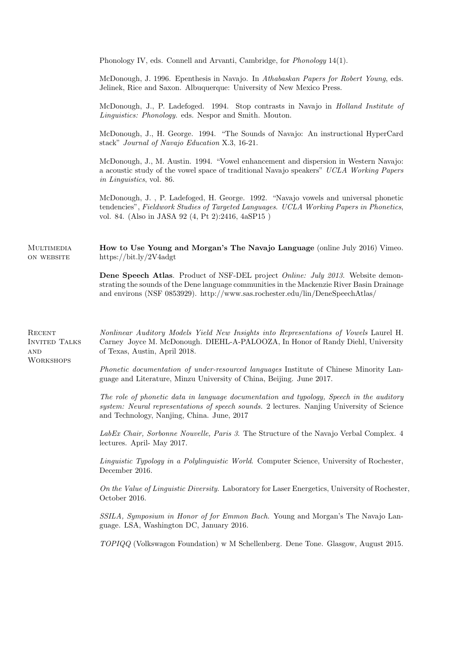|                                                                      | Phonology IV, eds. Connell and Arvanti, Cambridge, for <i>Phonology</i> 14(1).                                                                                                                                                                                                |  |  |
|----------------------------------------------------------------------|-------------------------------------------------------------------------------------------------------------------------------------------------------------------------------------------------------------------------------------------------------------------------------|--|--|
|                                                                      | McDonough, J. 1996. Epenthesis in Navajo. In Athabaskan Papers for Robert Young, eds.<br>Jelinek, Rice and Saxon. Albuquerque: University of New Mexico Press.                                                                                                                |  |  |
|                                                                      | McDonough, J., P. Ladefoged. 1994. Stop contrasts in Navajo in Holland Institute of<br>Linguistics: Phonology. eds. Nespor and Smith. Mouton.                                                                                                                                 |  |  |
|                                                                      | McDonough, J., H. George. 1994. "The Sounds of Navajo: An instructional HyperCard<br>stack" Journal of Navajo Education X.3, 16-21.                                                                                                                                           |  |  |
|                                                                      | McDonough, J., M. Austin. 1994. "Vowel enhancement and dispersion in Western Navajo:<br>a acoustic study of the vowel space of traditional Navajo speakers" UCLA Working Papers<br>in Linguistics, vol. 86.                                                                   |  |  |
|                                                                      | McDonough, J., P. Ladefoged, H. George. 1992. "Navajo vowels and universal phonetic<br>tendencies", Fieldwork Studies of Targeted Languages. UCLA Working Papers in Phonetics,<br>vol. 84. (Also in JASA 92 (4, Pt 2):2416, 4aSP15)                                           |  |  |
| <b>MULTIMEDIA</b><br>ON WEBSITE                                      | How to Use Young and Morgan's The Navajo Language (online July 2016) Vimeo.<br>https://bit.ly/2V4adgt                                                                                                                                                                         |  |  |
|                                                                      | <b>Dene Speech Atlas.</b> Product of NSF-DEL project <i>Online: July 2013</i> . Website demon-<br>strating the sounds of the Dene language communities in the Mackenzie River Basin Drainage<br>and environs (NSF 0853929). http://www.sas.rochester.edu/lin/DeneSpeechAtlas/ |  |  |
| RECENT<br><b>INVITED TALKS</b><br>$\mathbf{AND}$<br><b>WORKSHOPS</b> | Nonlinear Auditory Models Yield New Insights into Representations of Vowels Laurel H.<br>Carney Joyce M. McDonough. DIEHL-A-PALOOZA, In Honor of Randy Diehl, University<br>of Texas, Austin, April 2018.                                                                     |  |  |
|                                                                      | Phonetic documentation of under-resourced languages Institute of Chinese Minority Lan-<br>guage and Literature, Minzu University of China, Beijing. June 2017.                                                                                                                |  |  |
|                                                                      | The role of phonetic data in language documentation and typology, Speech in the auditory<br>system: Neural representations of speech sounds. 2 lectures. Nanjing University of Science<br>and Technology, Nanjing, China. June, 2017                                          |  |  |
|                                                                      | LabEx Chair, Sorbonne Nouvelle, Paris 3. The Structure of the Navajo Verbal Complex. 4<br>lectures. April- May 2017.                                                                                                                                                          |  |  |
|                                                                      | Linguistic Typology in a Polylinguistic World. Computer Science, University of Rochester,<br>December 2016.                                                                                                                                                                   |  |  |
|                                                                      | On the Value of Linguistic Diversity. Laboratory for Laser Energetics, University of Rochester,<br>October 2016.                                                                                                                                                              |  |  |
|                                                                      | SSILA, Symposium in Honor of for Emmon Bach. Young and Morgan's The Navajo Lan-<br>guage. LSA, Washington DC, January 2016.                                                                                                                                                   |  |  |
|                                                                      | TOPIQQ (Volkswagon Foundation) w M Schellenberg. Dene Tone. Glasgow, August 2015.                                                                                                                                                                                             |  |  |
|                                                                      |                                                                                                                                                                                                                                                                               |  |  |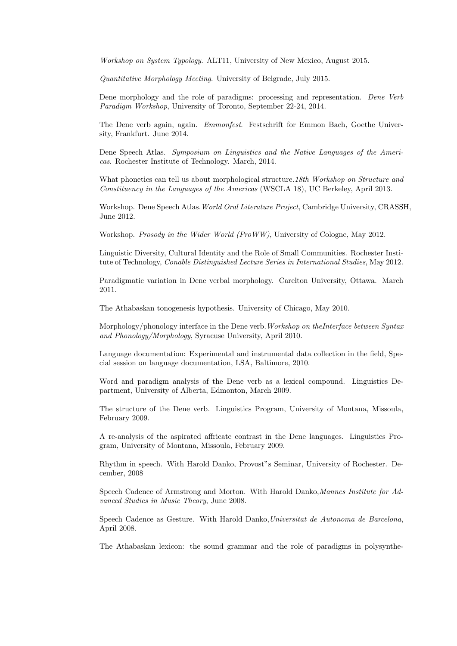Workshop on System Typology. ALT11, University of New Mexico, August 2015.

Quantitative Morphology Meeting. University of Belgrade, July 2015.

Dene morphology and the role of paradigms: processing and representation. Dene Verb Paradigm Workshop, University of Toronto, September 22-24, 2014.

The Dene verb again, again. Emmonfest. Festschrift for Emmon Bach, Goethe University, Frankfurt. June 2014.

Dene Speech Atlas. Symposium on Linguistics and the Native Languages of the Americas. Rochester Institute of Technology. March, 2014.

What phonetics can tell us about morphological structure. 18th Workshop on Structure and Constituency in the Languages of the Americas (WSCLA 18), UC Berkeley, April 2013.

Workshop. Dene Speech Atlas.World Oral Literature Project, Cambridge University, CRASSH, June 2012.

Workshop. Prosody in the Wider World (ProWW), University of Cologne, May 2012.

Linguistic Diversity, Cultural Identity and the Role of Small Communities. Rochester Institute of Technology, Conable Distinguished Lecture Series in International Studies, May 2012.

Paradigmatic variation in Dene verbal morphology. Carelton University, Ottawa. March 2011.

The Athabaskan tonogenesis hypothesis. University of Chicago, May 2010.

Morphology/phonology interface in the Dene verb. Workshop on the Interface between Syntax and Phonology/Morphology, Syracuse University, April 2010.

Language documentation: Experimental and instrumental data collection in the field, Special session on language documentation, LSA, Baltimore, 2010.

Word and paradigm analysis of the Dene verb as a lexical compound. Linguistics Department, University of Alberta, Edmonton, March 2009.

The structure of the Dene verb. Linguistics Program, University of Montana, Missoula, February 2009.

A re-analysis of the aspirated affricate contrast in the Dene languages. Linguistics Program, University of Montana, Missoula, February 2009.

Rhythm in speech. With Harold Danko, Provost"s Seminar, University of Rochester. December, 2008

Speech Cadence of Armstrong and Morton. With Harold Danko,Mannes Institute for Advanced Studies in Music Theory, June 2008.

Speech Cadence as Gesture. With Harold Danko,Universitat de Autonoma de Barcelona, April 2008.

The Athabaskan lexicon: the sound grammar and the role of paradigms in polysynthe-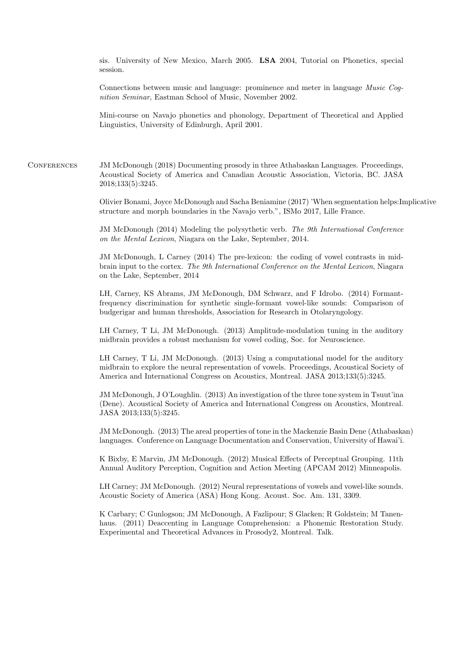sis. University of New Mexico, March 2005. LSA 2004, Tutorial on Phonetics, special session.

Connections between music and language: prominence and meter in language Music Cognition Seminar, Eastman School of Music, November 2002.

Mini-course on Navajo phonetics and phonology, Department of Theoretical and Applied Linguistics, University of Edinburgh, April 2001.

Conferences JM McDonough (2018) Documenting prosody in three Athabaskan Languages. Proceedings, Acoustical Society of America and Canadian Acoustic Association, Victoria, BC. JASA 2018;133(5):3245.

> Olivier Bonami, Joyce McDonough and Sacha Beniamine (2017) 'When segmentation helps:Implicative structure and morph boundaries in the Navajo verb.", ISMo 2017, Lille France.

JM McDonough (2014) Modeling the polysythetic verb. The 9th International Conference on the Mental Lexicon, Niagara on the Lake, September, 2014.

JM McDonough, L Carney (2014) The pre-lexicon: the coding of vowel contrasts in midbrain input to the cortex. The 9th International Conference on the Mental Lexicon, Niagara on the Lake, September, 2014

LH, Carney, KS Abrams, JM McDonough, DM Schwarz, and F Idrobo. (2014) Formantfrequency discrimination for synthetic single-formant vowel-like sounds: Comparison of budgerigar and human thresholds, Association for Research in Otolaryngology.

LH Carney, T Li, JM McDonough. (2013) Amplitude-modulation tuning in the auditory midbrain provides a robust mechanism for vowel coding, Soc. for Neuroscience.

LH Carney, T Li, JM McDonough. (2013) Using a computational model for the auditory midbrain to explore the neural representation of vowels. Proceedings, Acoustical Society of America and International Congress on Acoustics, Montreal. JASA 2013;133(5):3245.

JM McDonough, J O'Loughlin. (2013) An investigation of the three tone system in Tsuut'ina (Dene). Acoustical Society of America and International Congress on Acoustics, Montreal. JASA 2013;133(5):3245.

JM McDonough. (2013) The areal properties of tone in the Mackenzie Basin Dene (Athabaskan) languages. Conference on Language Documentation and Conservation, University of Hawai'i.

K Bixby, E Marvin, JM McDonough. (2012) Musical Effects of Perceptual Grouping. 11th Annual Auditory Perception, Cognition and Action Meeting (APCAM 2012) Minneapolis.

LH Carney; JM McDonough. (2012) Neural representations of vowels and vowel-like sounds. Acoustic Society of America (ASA) Hong Kong. Acoust. Soc. Am. 131, 3309.

K Carbary; C Gunlogson; JM McDonough, A Fazlipour; S Glacken; R Goldstein; M Tanenhaus. (2011) Deaccenting in Language Comprehension: a Phonemic Restoration Study. Experimental and Theoretical Advances in Prosody2, Montreal. Talk.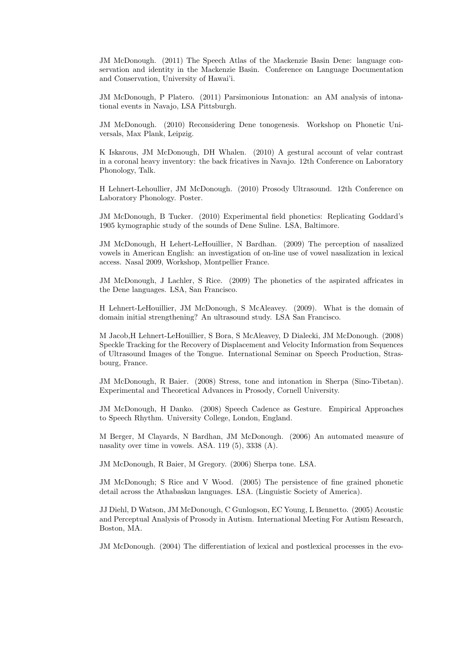JM McDonough. (2011) The Speech Atlas of the Mackenzie Basin Dene: language conservation and identity in the Mackenzie Basin. Conference on Language Documentation and Conservation, University of Hawai'i.

JM McDonough, P Platero. (2011) Parsimonious Intonation: an AM analysis of intonational events in Navajo, LSA Pittsburgh.

JM McDonough. (2010) Reconsidering Dene tonogenesis. Workshop on Phonetic Universals, Max Plank, Leipzig.

K Iskarous, JM McDonough, DH Whalen. (2010) A gestural account of velar contrast in a coronal heavy inventory: the back fricatives in Navajo. 12th Conference on Laboratory Phonology, Talk.

H Lehnert-Lehoullier, JM McDonough. (2010) Prosody Ultrasound. 12th Conference on Laboratory Phonology. Poster.

JM McDonough, B Tucker. (2010) Experimental field phonetics: Replicating Goddard's 1905 kymographic study of the sounds of Dene Suline. LSA, Baltimore.

JM McDonough, H Lehert-LeHouillier, N Bardhan. (2009) The perception of nasalized vowels in American English: an investigation of on-line use of vowel nasalization in lexical access. Nasal 2009, Workshop, Montpellier France.

JM McDonough, J Lachler, S Rice. (2009) The phonetics of the aspirated affricates in the Dene languages. LSA, San Francisco.

H Lehnert-LeHouillier, JM McDonough, S McAleavey. (2009). What is the domain of domain initial strengthening? An ultrasound study. LSA San Francisco.

M Jacob,H Lehnert-LeHouillier, S Bora, S McAleavey, D Dialecki, JM McDonough. (2008) Speckle Tracking for the Recovery of Displacement and Velocity Information from Sequences of Ultrasound Images of the Tongue. International Seminar on Speech Production, Strasbourg, France.

JM McDonough, R Baier. (2008) Stress, tone and intonation in Sherpa (Sino-Tibetan). Experimental and Theoretical Advances in Prosody, Cornell University.

JM McDonough, H Danko. (2008) Speech Cadence as Gesture. Empirical Approaches to Speech Rhythm. University College, London, England.

M Berger, M Clayards, N Bardhan, JM McDonough. (2006) An automated measure of nasality over time in vowels. ASA. 119 (5), 3338 (A).

JM McDonough, R Baier, M Gregory. (2006) Sherpa tone. LSA.

JM McDonough; S Rice and V Wood. (2005) The persistence of fine grained phonetic detail across the Athabaskan languages. LSA. (Linguistic Society of America).

JJ Diehl, D Watson, JM McDonough, C Gunlogson, EC Young, L Bennetto. (2005) Acoustic and Perceptual Analysis of Prosody in Autism. International Meeting For Autism Research, Boston, MA.

JM McDonough. (2004) The differentiation of lexical and postlexical processes in the evo-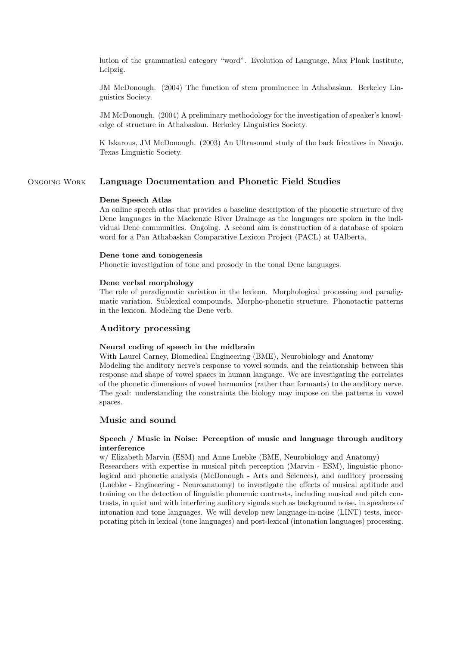lution of the grammatical category "word". Evolution of Language, Max Plank Institute, Leipzig.

JM McDonough. (2004) The function of stem prominence in Athabaskan. Berkeley Linguistics Society.

JM McDonough. (2004) A preliminary methodology for the investigation of speaker's knowledge of structure in Athabaskan. Berkeley Linguistics Society.

K Iskarous, JM McDonough. (2003) An Ultrasound study of the back fricatives in Navajo. Texas Linguistic Society.

# Ongoing Work Language Documentation and Phonetic Field Studies

### Dene Speech Atlas

An online speech atlas that provides a baseline description of the phonetic structure of five Dene languages in the Mackenzie River Drainage as the languages are spoken in the individual Dene communities. Ongoing. A second aim is construction of a database of spoken word for a Pan Athabaskan Comparative Lexicon Project (PACL) at UAlberta.

#### Dene tone and tonogenesis

Phonetic investigation of tone and prosody in the tonal Dene languages.

#### Dene verbal morphology

The role of paradigmatic variation in the lexicon. Morphological processing and paradigmatic variation. Sublexical compounds. Morpho-phonetic structure. Phonotactic patterns in the lexicon. Modeling the Dene verb.

## Auditory processing

## Neural coding of speech in the midbrain

With Laurel Carney, Biomedical Engineering (BME), Neurobiology and Anatomy Modeling the auditory nerve's response to vowel sounds, and the relationship between this response and shape of vowel spaces in human language. We are investigating the correlates of the phonetic dimensions of vowel harmonics (rather than formants) to the auditory nerve. The goal: understanding the constraints the biology may impose on the patterns in vowel spaces.

# Music and sound

## Speech / Music in Noise: Perception of music and language through auditory interference

w/ Elizabeth Marvin (ESM) and Anne Luebke (BME, Neurobiology and Anatomy)

Researchers with expertise in musical pitch perception (Marvin - ESM), linguistic phonological and phonetic analysis (McDonough - Arts and Sciences), and auditory processing (Luebke - Engineering - Neuroanatomy) to investigate the effects of musical aptitude and training on the detection of linguistic phonemic contrasts, including musical and pitch contrasts, in quiet and with interfering auditory signals such as background noise, in speakers of intonation and tone languages. We will develop new language-in-noise (LINT) tests, incorporating pitch in lexical (tone languages) and post-lexical (intonation languages) processing.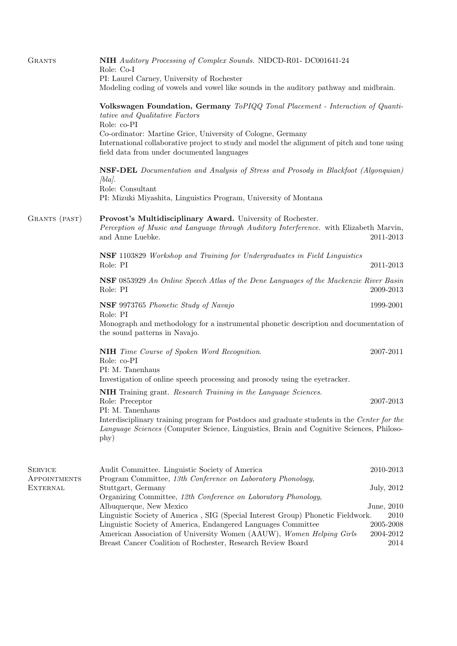| <b>GRANTS</b>                   | NIH Auditory Processing of Complex Sounds. NIDCD-R01- DC001641-24<br>Role: Co-I<br>PI: Laurel Carney, University of Rochester<br>Modeling coding of vowels and vowel like sounds in the auditory pathway and midbrain.                                                                                                                       |                                        |  |  |
|---------------------------------|----------------------------------------------------------------------------------------------------------------------------------------------------------------------------------------------------------------------------------------------------------------------------------------------------------------------------------------------|----------------------------------------|--|--|
|                                 | Volkswagen Foundation, Germany ToPIQQ Tonal Placement - Interaction of Quanti-<br>tative and Qualitative Factors<br>Role: co-PI<br>Co-ordinator: Martine Grice, University of Cologne, Germany<br>International collaborative project to study and model the alignment of pitch and tone using<br>field data from under documented languages |                                        |  |  |
|                                 |                                                                                                                                                                                                                                                                                                                                              |                                        |  |  |
|                                 | <b>NSF-DEL</b> Documentation and Analysis of Stress and Prosody in Blackfoot (Algonquian)<br>$/bla$ .<br>Role: Consultant<br>PI: Mizuki Miyashita, Linguistics Program, University of Montana                                                                                                                                                |                                        |  |  |
| GRANTS (PAST)                   | Provost's Multidisciplinary Award. University of Rochester.<br>Perception of Music and Language through Auditory Interference. with Elizabeth Marvin,<br>and Anne Luebke.                                                                                                                                                                    | 2011-2013                              |  |  |
|                                 | <b>NSF</b> 1103829 Workshop and Training for Undergraduates in Field Linguistics<br>Role: PI<br>2011-2013                                                                                                                                                                                                                                    |                                        |  |  |
|                                 | <b>NSF</b> 0853929 An Online Speech Atlas of the Dene Languages of the Mackenzie River Basin<br>Role: PI<br>2009-2013                                                                                                                                                                                                                        |                                        |  |  |
|                                 | NSF 9973765 Phonetic Study of Navajo                                                                                                                                                                                                                                                                                                         | 1999-2001                              |  |  |
|                                 | Role: PI<br>Monograph and methodology for a instrumental phonetic description and documentation of<br>the sound patterns in Navajo.                                                                                                                                                                                                          |                                        |  |  |
|                                 | NIH Time Course of Spoken Word Recognition.<br>Role: co-PI<br>PI: M. Tanenhaus<br>Investigation of online speech processing and prosody using the eyetracker.                                                                                                                                                                                | 2007-2011                              |  |  |
|                                 | NIH Training grant. Research Training in the Language Sciences.<br>Role: Preceptor<br>PI: M. Tanenhaus                                                                                                                                                                                                                                       | 2007-2013                              |  |  |
|                                 | Interdisciplinary training program for Postdocs and graduate students in the Center for the<br>Language Sciences (Computer Science, Linguistics, Brain and Cognitive Sciences, Philoso-<br>phy)                                                                                                                                              |                                        |  |  |
| <b>SERVICE</b>                  | Audit Committee. Linguistic Society of America                                                                                                                                                                                                                                                                                               | 2010-2013                              |  |  |
| APPOINTMENTS<br><b>EXTERNAL</b> | Program Committee, 13th Conference on Laboratory Phonology,<br>Stuttgart, Germany                                                                                                                                                                                                                                                            |                                        |  |  |
|                                 | Organizing Committee, 12th Conference on Laboratory Phonology,<br>Albuquerque, New Mexico                                                                                                                                                                                                                                                    | June, 2010                             |  |  |
|                                 | Linguistic Society of America, SIG (Special Interest Group) Phonetic Fieldwork.<br>Linguistic Society of America, Endangered Languages Committee<br>American Association of University Women (AAUW), Women Helping Girls<br>Breast Cancer Coalition of Rochester, Research Review Board                                                      | 2010<br>2005-2008<br>2004-2012<br>2014 |  |  |